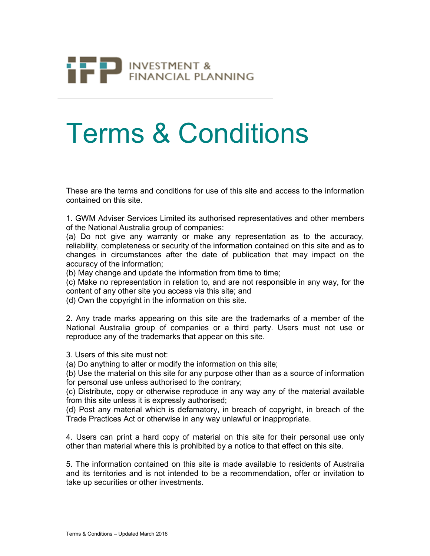

## Terms & Conditions

These are the terms and conditions for use of this site and access to the information contained on this site.

1. GWM Adviser Services Limited its authorised representatives and other members of the National Australia group of companies:

(a) Do not give any warranty or make any representation as to the accuracy, reliability, completeness or security of the information contained on this site and as to changes in circumstances after the date of publication that may impact on the accuracy of the information;

(b) May change and update the information from time to time;

(c) Make no representation in relation to, and are not responsible in any way, for the content of any other site you access via this site; and

(d) Own the copyright in the information on this site.

2. Any trade marks appearing on this site are the trademarks of a member of the National Australia group of companies or a third party. Users must not use or reproduce any of the trademarks that appear on this site.

3. Users of this site must not:

(a) Do anything to alter or modify the information on this site;

(b) Use the material on this site for any purpose other than as a source of information for personal use unless authorised to the contrary;

(c) Distribute, copy or otherwise reproduce in any way any of the material available from this site unless it is expressly authorised;

(d) Post any material which is defamatory, in breach of copyright, in breach of the Trade Practices Act or otherwise in any way unlawful or inappropriate.

4. Users can print a hard copy of material on this site for their personal use only other than material where this is prohibited by a notice to that effect on this site.

5. The information contained on this site is made available to residents of Australia and its territories and is not intended to be a recommendation, offer or invitation to take up securities or other investments.